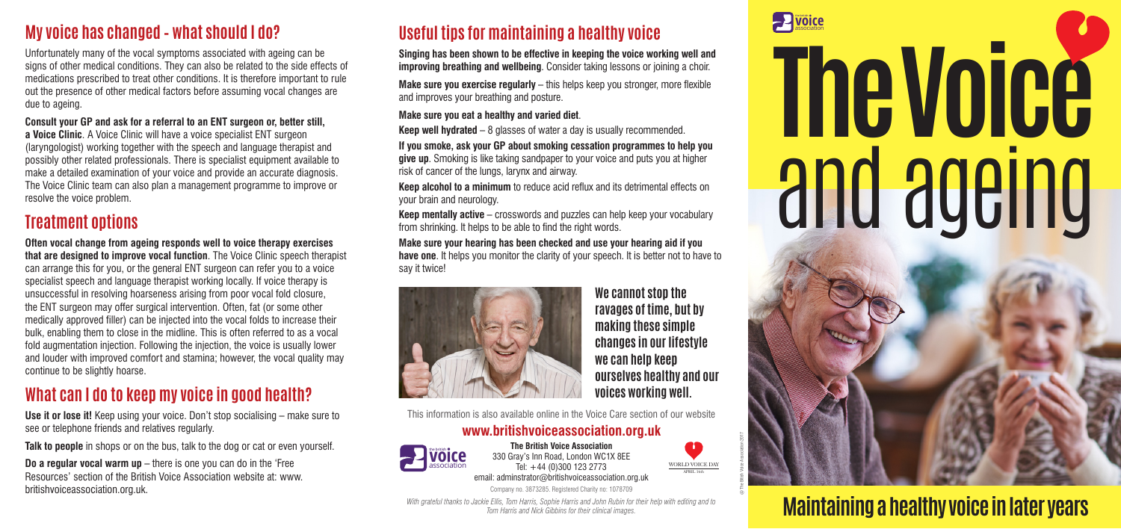# **Useful tips for maintaining a healthy voice**

**Singing has been shown to be effective in keeping the voice working well and improving breathing and wellbeing**. Consider taking lessons or joining a choir.

**Make sure you exercise regularly** – this helps keep you stronger, more flexible and improves your breathing and posture.

### **Make sure you eat a healthy and varied diet**.

**Keep well hydrated** – 8 glasses of water a day is usually recommended.

**If you smoke, ask your GP about smoking cessation programmes to help you give up**. Smoking is like taking sandpaper to your voice and puts you at higher risk of cancer of the lungs, larynx and airway.

**Keep alcohol to a minimum** to reduce acid reflux and its detrimental effects on your brain and neurology.

**Keep mentally active** – crosswords and puzzles can help keep your vocabulary from shrinking. It helps to be able to find the right words.

**Make sure your hearing has been checked and use your hearing aid if you have one**. It helps you monitor the clarity of your speech. It is better not to have to say it twice!



This information is also available online in the Voice Care section of our website

## **www.britishvoiceassociation.org.uk**

**The British Voice Association** 330 Gray's Inn Road, London WC1X 8EE association **Tel:**  $+44$  (0)300 123 2773 email: adminstrator@britishvoiceassociation.org.uk

Company no. 3873285. Registered Charity no: 1078709

*With grateful thanks to Jackie Ellis, Tom Harris, Sophie Harris and John Rubin for their help with editing and to Tom Harris and Nick Gibbins for their clinical images.*





# **Maintaining a healthy voice in later years**

# **The Voice** and ageing

# **My voice has changed – what should I do?**

Unfortunately many of the vocal symptoms associated with ageing can be signs of other medical conditions. They can also be related to the side effects of medications prescribed to treat other conditions. It is therefore important to rule out the presence of other medical factors before assuming vocal changes are due to ageing.

### **Consult your GP and ask for a referral to an ENT surgeon or, better still,**

**a Voice Clinic**. A Voice Clinic will have a voice specialist ENT surgeon (laryngologist) working together with the speech and language therapist and possibly other related professionals. There is specialist equipment available to make a detailed examination of your voice and provide an accurate diagnosis. The Voice Clinic team can also plan a management programme to improve or resolve the voice problem.

# **Treatment options**

**Often vocal change from ageing responds well to voice therapy exercises that are designed to improve vocal function**. The Voice Clinic speech therapist can arrange this for you, or the general ENT surgeon can refer you to a voice specialist speech and language therapist working locally. If voice therapy is unsuccessful in resolving hoarseness arising from poor vocal fold closure, the ENT surgeon may offer surgical intervention. Often, fat (or some other medically approved filler) can be injected into the vocal folds to increase their bulk, enabling them to close in the midline. This is often referred to as a vocal fold augmentation injection. Following the injection, the voice is usually lower and louder with improved comfort and stamina; however, the vocal quality may continue to be slightly hoarse.

# **What can I do to keep my voice in good health?**

**Use it or lose it!** Keep using your voice. Don't stop socialising – make sure to see or telephone friends and relatives regularly.

**Talk to people** in shops or on the bus, talk to the dog or cat or even yourself.

**Do a regular vocal warm up** – there is one you can do in the 'Free Resources' section of the British Voice Association website at: www. britishvoiceassociation.org.uk.

**We cannot stop the ravages of time, but by making these simple changes in our lifestyle we can help keep ourselves healthy and our voices working well.**

@ The Bitish Voice Association 2017